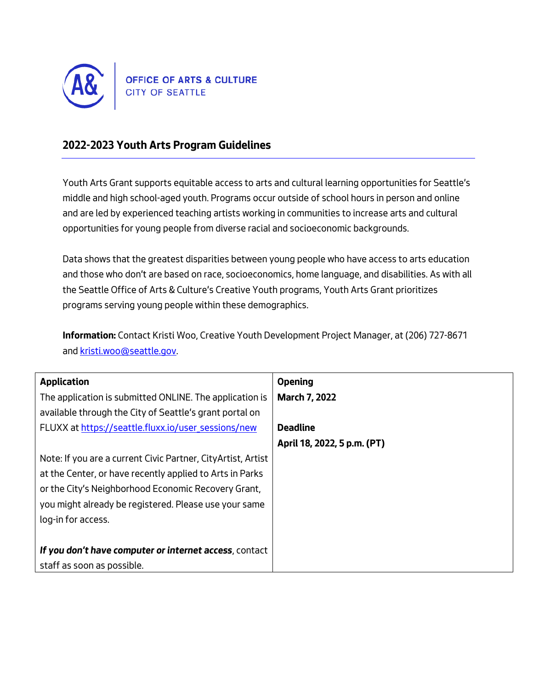

# **2022-2023 Youth Arts Program Guidelines**

*Youth Arts Grant supports equitable access to arts and cultural learning opportunities for Seattle's middle and high school-aged youth. Programs occur outside of school hours in person and online and are led by experienced teaching artists working in communities to increase arts and cultural opportunities for young people from diverse racial and socioeconomic backgrounds.*

*Data shows that the greatest disparities between young people who have access to arts education and those who don't are based on race, socioeconomics, home language, and disabilities. As with all the Seattle Office of Arts & Culture's Creative Youth programs, Youth Arts Grant prioritizes programs serving young people within these demographics.*

**Information:** *Contact Kristi Woo, Creative Youth Development Project Manager, at (206) 727-8671 and [kristi.woo@seattle.gov.](mailto:kristi.woo@seattle.gov)*

| <b>Application</b>                                            | <b>Opening</b>              |
|---------------------------------------------------------------|-----------------------------|
| The application is submitted ONLINE. The application is       | <b>March 7, 2022</b>        |
| available through the City of Seattle's grant portal on       |                             |
| FLUXX at https://seattle.fluxx.io/user sessions/new           | <b>Deadline</b>             |
|                                                               | April 18, 2022, 5 p.m. (PT) |
| Note: If you are a current Civic Partner, City Artist, Artist |                             |
| at the Center, or have recently applied to Arts in Parks      |                             |
| or the City's Neighborhood Economic Recovery Grant,           |                             |
| you might already be registered. Please use your same         |                             |
| log-in for access.                                            |                             |
|                                                               |                             |
| If you don't have computer or internet access, contact        |                             |
| staff as soon as possible.                                    |                             |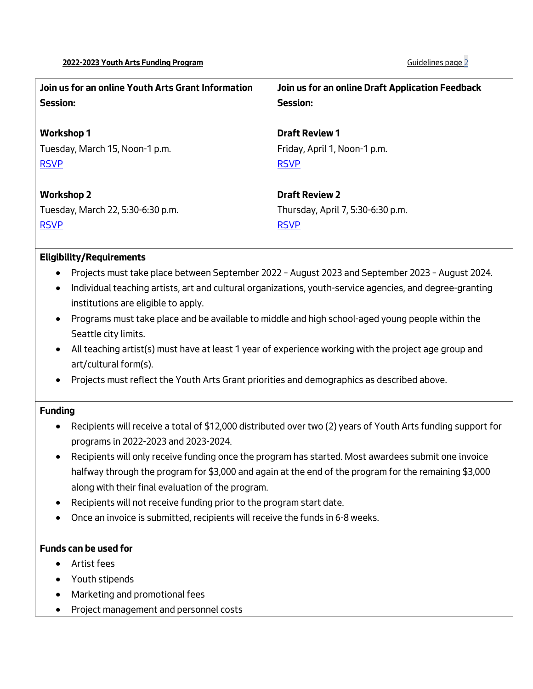| Join us for an online Youth Arts Grant Information<br><b>Session:</b> | Join us for an online Draft Application Feedback<br><b>Session:</b> |
|-----------------------------------------------------------------------|---------------------------------------------------------------------|
| <b>Workshop 1</b>                                                     | <b>Draft Review 1</b>                                               |
| Tuesday, March 15, Noon-1 p.m.                                        | Friday, April 1, Noon-1 p.m.                                        |
| <b>RSVP</b>                                                           | <b>RSVP</b>                                                         |
| <b>Workshop 2</b>                                                     | <b>Draft Review 2</b>                                               |
| Tuesday, March 22, 5:30-6:30 p.m.                                     | Thursday, April 7, 5:30-6:30 p.m.                                   |
| <b>RSVP</b>                                                           | <b>RSVP</b>                                                         |

## **Eligibility/Requirements**

- *Projects must take place between September 2022 – August 2023 and September 2023 – August 2024.*
- *Individual teaching artists, art and cultural organizations, youth-service agencies, and degree-granting institutions are eligible to apply.*
- *Programs must take place and be available to middle and high school-aged young people within the Seattle city limits.*
- *All teaching artist(s) must have at least 1 year of experience working with the project age group and art/cultural form(s).*
- *Projects must reflect the Youth Arts Grant priorities and demographics as described above.*

# **Funding**

- *Recipients will receive a total of \$12,000 distributed over two (2) years of Youth Arts funding support for programs in 2022-2023 and 2023-2024.*
- *Recipients will only receive funding once the program has started. Most awardees submit one invoice halfway through the program for \$3,000 and again at the end of the program for the remaining \$3,000 along with their final evaluation of the program.*
- *Recipients will not receive funding prior to the program start date.*
- *Once an invoice is submitted, recipients will receive the funds in 6-8 weeks.*

## **Funds can be used for**

- *Artist fees*
- *Youth stipends*
- *Marketing and promotional fees*
- *Project management and personnel costs*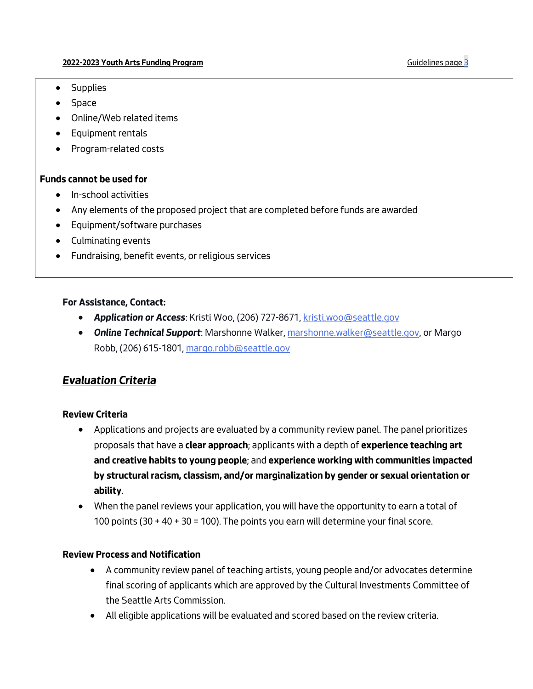- *Supplies*
- *Space*
- *Online/Web related items*
- *Equipment rentals*
- *Program-related costs*

## **Funds cannot be used for**

- *In-school activities*
- *Any elements of the proposed project that are completed before funds are awarded*
- *Equipment/software purchases*
- *Culminating events*
- *Fundraising, benefit events, or religious services*

#### **For Assistance, Contact:**

- *Application or Access: Kristi Woo, (206) 727-8671, [kristi.woo@seattle.gov](mailto:kristi.woo@seattle.gov)*
- *Online Technical Support: Marshonne Walker, [marshonne.walker@seattle.gov,](mailto:marshonne.walker@seattle.gov) or Margo Robb, (206) 615-1801, [margo.robb@seattle.gov](mailto:margo.robb@seattle.gov)*

# *Evaluation Criteria*

## **Review Criteria**

- *Applications and projects are evaluated by a community review panel. The panel prioritizes proposals that have a* **clear approach***; applicants with a depth of* **experience teaching art and creative habits to young people***; and* **experience working with communities impacted by structural racism, classism, and/or marginalization by gender or sexual orientation or ability***.*
- *When the panel reviews your application, you will have the opportunity to earn a total of 100 points (30 + 40 + 30 = 100). The points you earn will determine your final score.*

## **Review Process and Notification**

- *A community review panel of teaching artists, young people and/or advocates determine final scoring of applicants which are approved by the Cultural Investments Committee of the Seattle Arts Commission.*
- *All eligible applications will be evaluated and scored based on the review criteria.*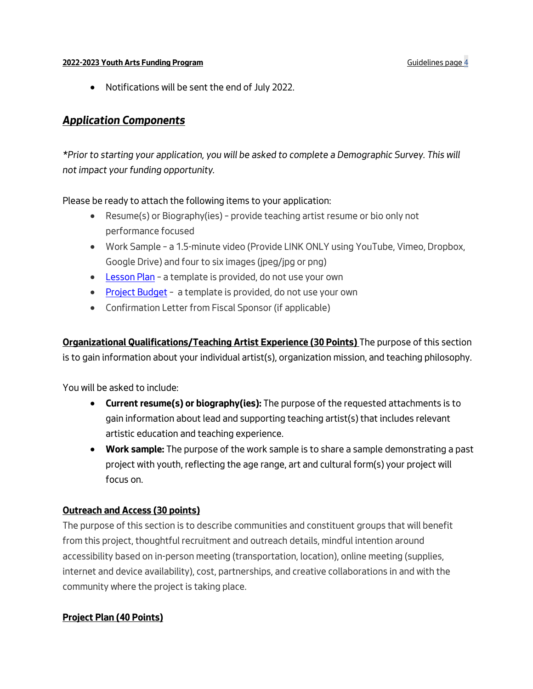• *Notifications will be sent the end of July 2022.*

# *Application Components*

*\*Prior to starting your application, you will be asked to complete a Demographic Survey. This will not impact your funding opportunity.*

*Please be ready to attach the following items to your application:*

- *Resume(s) or Biography(ies) – provide teaching artist resume or bio only not performance focused*
- *Work Sample – a 1.5-minute video (Provide LINK ONLY using YouTube, Vimeo, Dropbox, Google Drive) and four to six images (jpeg/jpg or png)*
- *[Lesson Plan](https://www.seattle.gov/Documents/Departments/Arts/Downloads/Grants/Youth%20Arts/YA%20Grant%20-%20Lesson%20Plan%20Template.doc) – a template is provided, do not use your own*
- *[Project Budget](https://www.seattle.gov/Documents/Departments/Arts/Downloads/Grants/Youth%20Arts/YA%20Grant%20-%20Budget%20Template.xlsx) – a template is provided, do not use your own*
- *Confirmation Letter from Fiscal Sponsor (if applicable)*

**Organizational Qualifications/Teaching Artist Experience (30 Points)** *The purpose of this section is to gain information about your individual artist(s), organization mission, and teaching philosophy.*

*You will be asked to include:*

- **Current resume(s) or biography(ies):** *The purpose of the requested attachments is to gain information about lead and supporting teaching artist(s) that includes relevant artistic education and teaching experience.*
- **Work sample:** *The purpose of the work sample is to share a sample demonstrating a past project with youth, reflecting the age range, art and cultural form(s) your project will focus on.*

# **Outreach and Access (30 points)**

*The purpose of this section is to describe communities and constituent groups that will benefit from this project, thoughtful recruitment and outreach details, mindful intention around accessibility based on in-person meeting (transportation, location), online meeting (supplies, internet and device availability), cost, partnerships, and creative collaborations in and with the community where the project is taking place.*

# **Project Plan (40 Points)**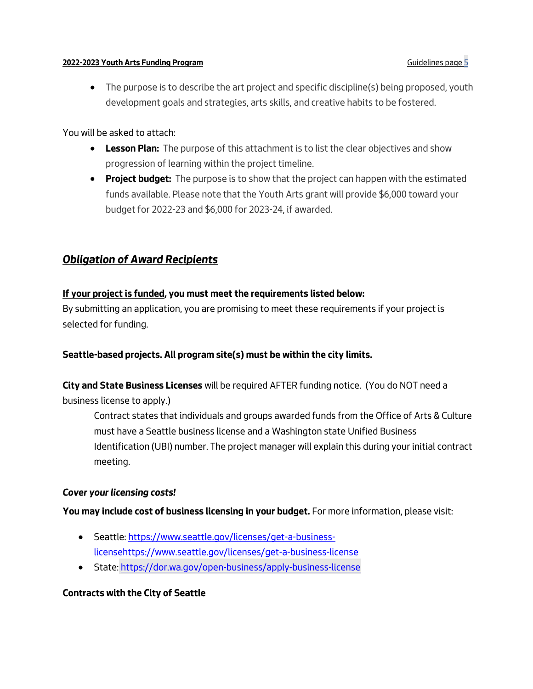• *The purpose is to describe the art project and specific discipline(s) being proposed, youth development goals and strategies, arts skills, and creative habits to be fostered.*

*You will be asked to attach:*

- **Lesson Plan:** *The purpose of this attachment is to list the clear objectives and show progression of learning within the project timeline.*
- **Project budget:** *The purpose is to show that the project can happen with the estimated funds available. Please note that the Youth Arts grant will provide \$6,000 toward your budget for 2022-23 and \$6,000 for 2023-24, if awarded.*

# *Obligation of Award Recipients*

## **If your project is funded, you must meet the requirements listed below:**

*By submitting an application, you are promising to meet these requirements if your project is selected for funding.*

## **Seattle-based projects. All program site(s) must be within the city limits.**

**City and State Business Licenses** *will be required AFTER funding notice. (You do NOT need a business license to apply.)*

*Contract states that individuals and groups awarded funds from the Office of Arts & Culture must have a Seattle business license and a Washington state Unified Business Identification (UBI) number. The project manager will explain this during your initial contract meeting.* 

#### *Cover your licensing costs!*

**You may include cost of business licensing in your budget.** *For more information, please visit:* 

- *Seattle[: https://www.seattle.gov/licenses/get-a-business](https://www.seattle.gov/licenses/get-a-business-licensehttps:/www.seattle.gov/licenses/get-a-business-license)[licensehttps://www.seattle.gov/licenses/get-a-business-license](https://www.seattle.gov/licenses/get-a-business-licensehttps:/www.seattle.gov/licenses/get-a-business-license)*
- *State: <https://dor.wa.gov/open-business/apply-business-license>*

## **Contracts with the City of Seattle**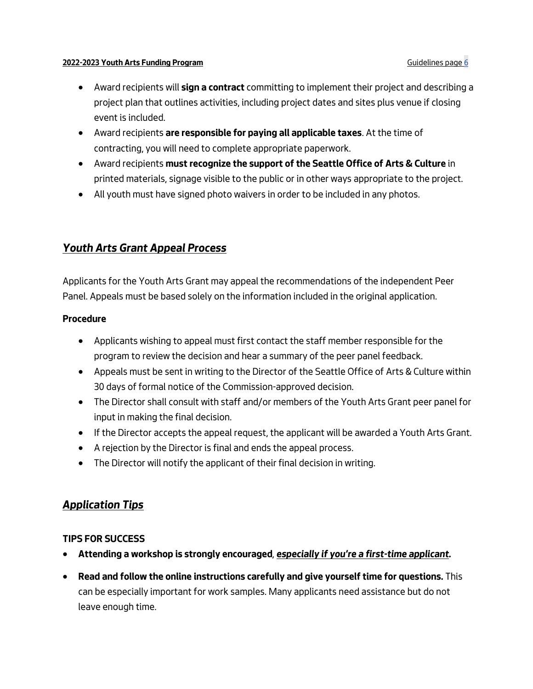- *Award recipients will* **sign a contract** *committing to implement their project and describing a project plan that outlines activities, including project dates and sites plus venue if closing event is included.*
- *Award recipients* **are responsible for paying all applicable taxes***. At the time of contracting, you will need to complete appropriate paperwork.*
- *Award recipients* **must recognize the support of the Seattle Office of Arts & Culture** *in printed materials, signage visible to the public or in other ways appropriate to the project.*
- *All youth must have signed photo waivers in order to be included in any photos.*

# *Youth Arts Grant Appeal Process*

*Applicants for the Youth Arts Grant may appeal the recommendations of the independent Peer Panel. Appeals must be based solely on the information included in the original application.*

## **Procedure**

- *Applicants wishing to appeal must first contact the staff member responsible for the program to review the decision and hear a summary of the peer panel feedback.*
- *Appeals must be sent in writing to the Director of the Seattle Office of Arts & Culture within 30 days of formal notice of the Commission-approved decision.*
- *The Director shall consult with staff and/or members of the Youth Arts Grant peer panel for input in making the final decision.*
- *If the Director accepts the appeal request, the applicant will be awarded a Youth Arts Grant.*
- *A rejection by the Director is final and ends the appeal process.*
- *The Director will notify the applicant of their final decision in writing.*

# *Application Tips*

# **TIPS FOR SUCCESS**

- **Attending a workshop is strongly encouraged***, especially if you're a first-time applicant.*
- **Read and follow the online instructions carefully and give yourself time for questions.** *This can be especially important for work samples. Many applicants need assistance but do not leave enough time.*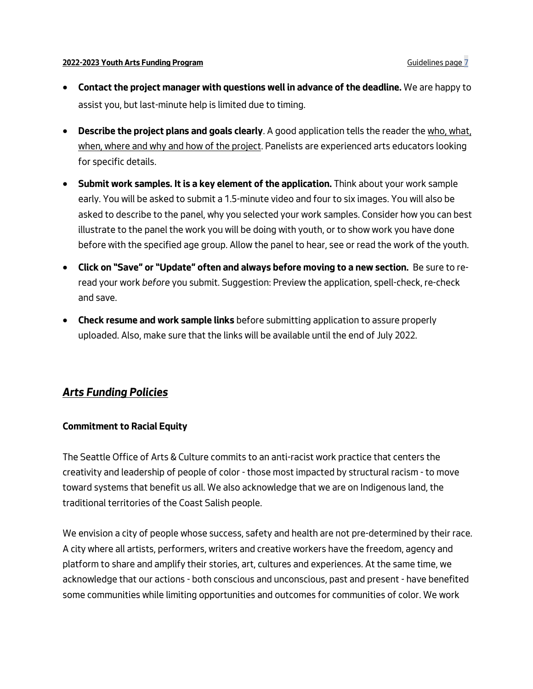- **Contact the project manager with questions well in advance of the deadline.** *We are happy to assist you, but last-minute help is limited due to timing.*
- **Describe the project plans and goals clearly***. A good application tells the reader the who, what,*  when, where and why and how of the project. Panelists are experienced arts educators looking *for specific details.*
- **Submit work samples. It is a key element of the application.** *Think about your work sample early. You will be asked to submit a 1.5-minute video and four to six images. You will also be asked to describe to the panel, why you selected your work samples. Consider how you can best illustrate to the panel the work you will be doing with youth, or to show work you have done before with the specified age group. Allow the panel to hear, see or read the work of the youth.*
- **Click on "Save" or "Update" often and always before moving to a new section.** *Be sure to reread your work before you submit. Suggestion: Preview the application, spell-check, re-check and save.*
- **Check resume and work sample links** *before submitting application to assure properly uploaded. Also, make sure that the links will be available until the end of July 2022.*

# *Arts Funding Policies*

## **Commitment to Racial Equity**

*The Seattle Office of Arts & Culture commits to an anti-racist work practice that centers the creativity and leadership of people of color - those most impacted by structural racism - to move toward systems that benefit us all. We also acknowledge that we are on Indigenous land, the traditional territories of the Coast Salish people.*

*We envision a city of people whose success, safety and health are not pre-determined by their race. A city where all artists, performers, writers and creative workers have the freedom, agency and platform to share and amplify their stories, art, cultures and experiences. At the same time, we acknowledge that our actions - both conscious and unconscious, past and present - have benefited some communities while limiting opportunities and outcomes for communities of color. We work*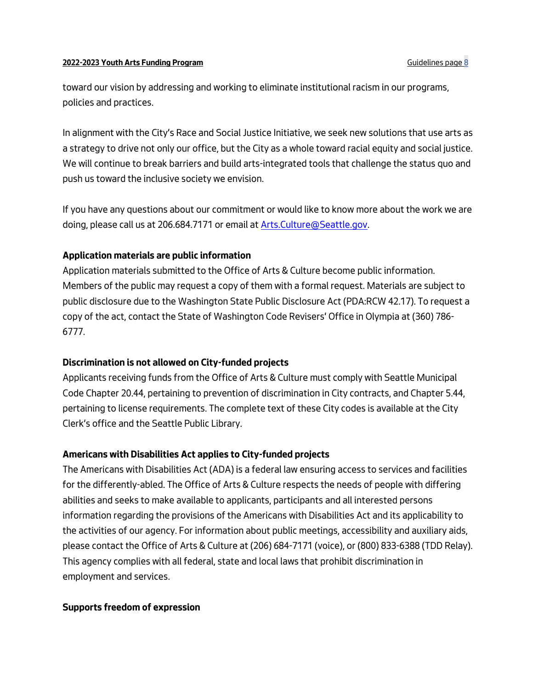*toward our vision by addressing and working to eliminate institutional racism in our programs, policies and practices.* 

*In alignment with the City's Race and Social Justice Initiative, we seek new solutions that use arts as a strategy to drive not only our office, but the City as a whole toward racial equity and social justice. We will continue to break barriers and build arts-integrated tools that challenge the status quo and push us toward the inclusive society we envision.* 

*If you have any questions about our commitment or would like to know more about the work we are doing, please call us at 206.684.7171 or email a[t Arts.Culture@Seattle.gov.](mailto:Arts.Culture@Seattle.gov)*

## **Application materials are public information**

*Application materials submitted to the Office of Arts & Culture become public information. Members of the public may request a copy of them with a formal request. Materials are subject to public disclosure due to the Washington State Public Disclosure Act (PDA:RCW 42.17). To request a copy of the act, contact the State of Washington Code Revisers' Office in Olympia at (360) 786- 6777.* 

## **Discrimination is not allowed on City-funded projects**

*Applicants receiving funds from the Office of Arts & Culture must comply with Seattle Municipal Code Chapter 20.44, pertaining to prevention of discrimination in City contracts, and Chapter 5.44, pertaining to license requirements. The complete text of these City codes is available at the City Clerk's office and the Seattle Public Library.*

## **Americans with Disabilities Act applies to City-funded projects**

*The Americans with Disabilities Act (ADA) is a federal law ensuring access to services and facilities for the differently-abled. The Office of Arts & Culture respects the needs of people with differing abilities and seeks to make available to applicants, participants and all interested persons information regarding the provisions of the Americans with Disabilities Act and its applicability to the activities of our agency. For information about public meetings, accessibility and auxiliary aids, please contact the Office of Arts & Culture at (206) 684-7171 (voice), or (800) 833-6388 (TDD Relay). This agency complies with all federal, state and local laws that prohibit discrimination in employment and services.*

#### **Supports freedom of expression**